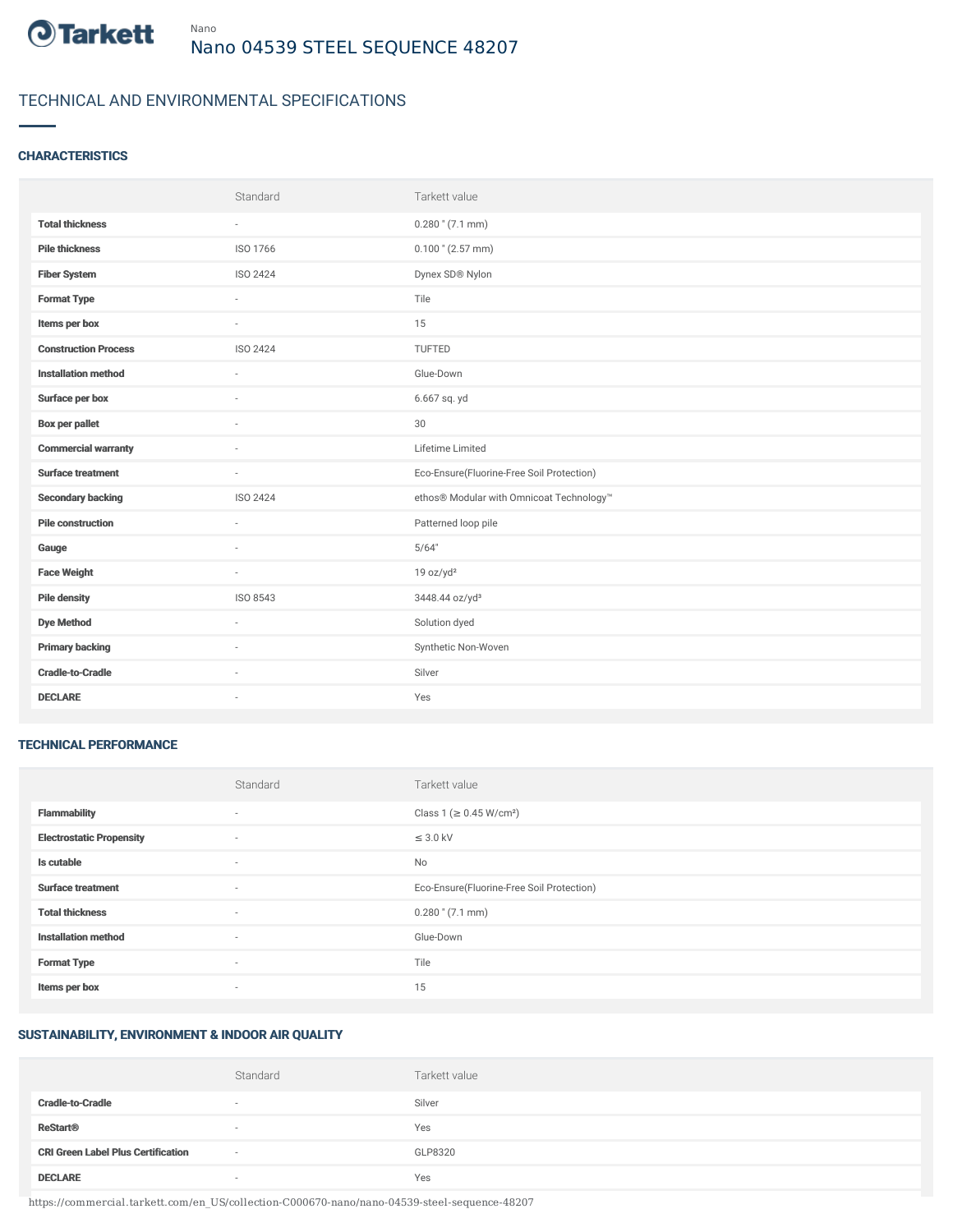

# TECHNICAL AND ENVIRONMENTAL SPECIFICATIONS

## **CHARACTERISTICS**

|                             | Standard                 | Tarkett value                             |
|-----------------------------|--------------------------|-------------------------------------------|
| <b>Total thickness</b>      | $\sim$                   | $0.280$ " (7.1 mm)                        |
| <b>Pile thickness</b>       | ISO 1766                 | $0.100$ " (2.57 mm)                       |
| <b>Fiber System</b>         | ISO 2424                 | Dynex SD® Nylon                           |
| <b>Format Type</b>          | ÷.                       | Tile                                      |
| Items per box               | $\sim$                   | 15                                        |
| <b>Construction Process</b> | ISO 2424                 | TUFTED                                    |
| <b>Installation method</b>  | ×.                       | Glue-Down                                 |
| Surface per box             | $\sim$                   | 6.667 sq. yd                              |
| <b>Box per pallet</b>       | ä,                       | 30                                        |
| <b>Commercial warranty</b>  |                          | Lifetime Limited                          |
| <b>Surface treatment</b>    | $\sim$                   | Eco-Ensure(Fluorine-Free Soil Protection) |
| <b>Secondary backing</b>    | ISO 2424                 | ethos® Modular with Omnicoat Technology™  |
| <b>Pile construction</b>    | ×.                       | Patterned loop pile                       |
| Gauge                       |                          | 5/64"                                     |
| <b>Face Weight</b>          | $\overline{\phantom{a}}$ | 19 oz/yd <sup>2</sup>                     |
| <b>Pile density</b>         | ISO 8543                 | 3448.44 oz/yd <sup>3</sup>                |
| <b>Dye Method</b>           | $\sim$                   | Solution dyed                             |
| <b>Primary backing</b>      |                          | Synthetic Non-Woven                       |
| <b>Cradle-to-Cradle</b>     | $\sim$                   | Silver                                    |
| <b>DECLARE</b>              | ٠                        | Yes                                       |

#### TECHNICAL PERFORMANCE

|                                 | Standard                 | Tarkett value                             |
|---------------------------------|--------------------------|-------------------------------------------|
| <b>Flammability</b>             | $\overline{\phantom{a}}$ | Class 1 (≥ 0.45 W/cm <sup>2</sup> )       |
| <b>Electrostatic Propensity</b> | ٠                        | $\leq$ 3.0 kV                             |
| Is cutable                      | ٠                        | No                                        |
| <b>Surface treatment</b>        | $\sim$                   | Eco-Ensure(Fluorine-Free Soil Protection) |
| <b>Total thickness</b>          | ٠                        | $0.280$ " (7.1 mm)                        |
| <b>Installation method</b>      | $\sim$                   | Glue-Down                                 |
| <b>Format Type</b>              | $\sim$                   | Tile                                      |
| Items per box                   | $\overline{\phantom{a}}$ | 15                                        |

## SUSTAINABILITY, ENVIRONMENT & INDOOR AIR QUALITY

|                                           | Standard | Tarkett value |
|-------------------------------------------|----------|---------------|
| <b>Cradle-to-Cradle</b>                   | $\sim$   | Silver        |
| <b>ReStart<sup>®</sup></b>                | $\sim$   | Yes           |
| <b>CRI Green Label Plus Certification</b> | $\sim$   | GLP8320       |
| <b>DECLARE</b>                            | $\sim$   | Yes           |

https://commercial.tarkett.com/en\_US/collection-C000670-nano/nano-04539-steel-sequence-48207